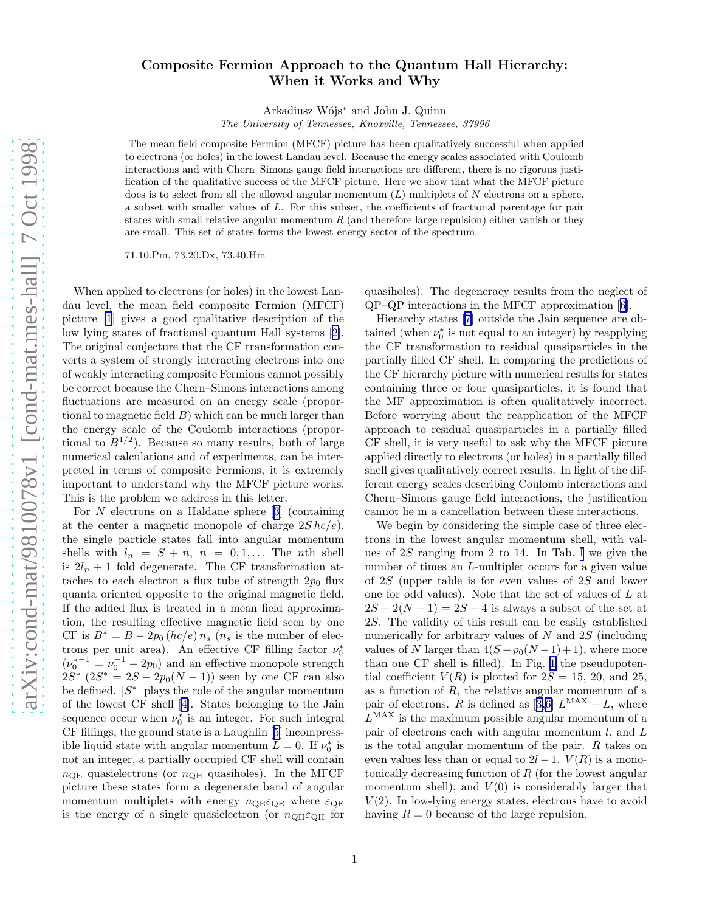## Composite Fermion Approach to the Quantum Hall Hierarchy: When it Works and Why

Arkadiusz W´ojs<sup>∗</sup> and John J. Quinn

The University of Tennessee, Knoxville, Tennessee, 37996

The mean field composite Fermion (MFCF) picture has been qualitatively successful when applied to electrons (or holes) in the lowest Landau level. Because the energy scales associated with Coulomb interactions and with Chern–Simons gauge field interactions are different, there is no rigorous justification of the qualitative success of the MFCF picture. Here we show that what the MFCF picture does is to select from all the allowed angular momentum  $(L)$  multiplets of N electrons on a sphere, a subset with smaller values of L. For this subset, the coefficients of fractional parentage for pair states with small relative angular momentum  $R$  (and therefore large repulsion) either vanish or they are small. This set of states forms the lowest energy sector of the spectrum.

71.10.Pm, 73.20.Dx, 73.40.Hm

When applied to electrons (or holes) in the lowest Landau level, the mean field composite Fermion (MFCF) picture [\[1](#page-3-0)] gives a good qualitative description of the low lying states of fractional quantum Hall systems[[2\]](#page-3-0). The original conjecture that the CF transformation converts a system of strongly interacting electrons into one of weakly interacting composite Fermions cannot possibly be correct because the Chern–Simons interactions among fluctuations are measured on an energy scale (proportional to magnetic field  $B$ ) which can be much larger than the energy scale of the Coulomb interactions (proportional to  $B^{1/2}$ ). Because so many results, both of large numerical calculations and of experiments, can be interpreted in terms of composite Fermions, it is extremely important to understand why the MFCF picture works. This is the problem we address in this letter.

For N electrons on a Haldane sphere[[3\]](#page-3-0) (containing at the center a magnetic monopole of charge  $2S$  hc/e), the single particle states fall into angular momentum shells with  $l_n = S + n$ ,  $n = 0, 1, \ldots$  The nth shell is  $2l_n + 1$  fold degenerate. The CF transformation attaches to each electron a flux tube of strength  $2p_0$  flux quanta oriented opposite to the original magnetic field. If the added flux is treated in a mean field approximation, the resulting effective magnetic field seen by one CF is  $B^* = B - 2p_0 (hc/e) n_s (n_s)$  is the number of electrons per unit area). An effective CF filling factor  $\nu_0^*$  $(\nu_0^{*^{-1}} = \nu_0^{-1} - 2p_0)$  and an effective monopole strength  $2S^*$   $(2S^* = 2S - 2p_0(N-1))$  seen by one CF can also be defined.  $|S^*|$  plays the role of the angular momentum of the lowest CF shell[[4\]](#page-3-0). States belonging to the Jain sequence occur when  $\nu_0^*$  is an integer. For such integral CF fillings, the ground state is a Laughlin[[5\]](#page-3-0) incompressible liquid state with angular momentum  $L = 0$ . If  $\nu_0^*$  is not an integer, a partially occupied CF shell will contain  $n_{\text{OE}}$  quasielectrons (or  $n_{\text{OH}}$  quasiholes). In the MFCF picture these states form a degenerate band of angular momentum multiplets with energy  $n_{\text{QE}}\varepsilon_{\text{QE}}$  where  $\varepsilon_{\text{QE}}$ is the energy of a single quasielectron (or  $n_{\text{QH}}\varepsilon_{\text{QH}}$  for

quasiholes). The degeneracy results from the neglect of QP–QP interactions in the MFCF approximation[[6\]](#page-3-0).

Hierarchy states [\[7](#page-3-0)] outside the Jain sequence are obtained (when  $\nu_0^*$  is not equal to an integer) by reapplying the CF transformation to residual quasiparticles in the partially filled CF shell. In comparing the predictions of the CF hierarchy picture with numerical results for states containing three or four quasiparticles, it is found that the MF approximation is often qualitatively incorrect. Before worrying about the reapplication of the MFCF approach to residual quasiparticles in a partially filled CF shell, it is very useful to ask why the MFCF picture applied directly to electrons (or holes) in a partially filled shell gives qualitatively correct results. In light of the different energy scales describing Coulomb interactions and Chern–Simons gauge field interactions, the justification cannot lie in a cancellation between these interactions.

We begin by considering the simple case of three electrons in the lowest angular momentum shell, with values of 2S ranging from 2 to 14. In Tab. [I](#page-1-0) we give the number of times an *L*-multiplet occurs for a given value of 2S (upper table is for even values of 2S and lower one for odd values). Note that the set of values of L at  $2S - 2(N - 1) = 2S - 4$  is always a subset of the set at 2S. The validity of this result can be easily established numerically for arbitrary values of  $N$  and  $2S$  (including values of N larger than  $4(S - p_0(N-1) + 1)$ , where more than one CF shell is filled). In Fig. [1](#page-1-0) the pseudopotential coefficient  $V(R)$  is plotted for  $2S = 15$ , 20, and 25, as a function of  $R$ , the relative angular momentum of a pairof electrons. R is defined as [[3,6\]](#page-3-0)  $L^{\text{MAX}} - L$ , where  $L^{\text{MAX}}$  is the maximum possible angular momentum of a pair of electrons each with angular momentum  $l$ , and  $L$ is the total angular momentum of the pair.  $R$  takes on even values less than or equal to  $2l-1$ .  $V(R)$  is a monotonically decreasing function of R (for the lowest angular momentum shell), and  $V(0)$  is considerably larger that  $V(2)$ . In low-lying energy states, electrons have to avoid having  $R = 0$  because of the large repulsion.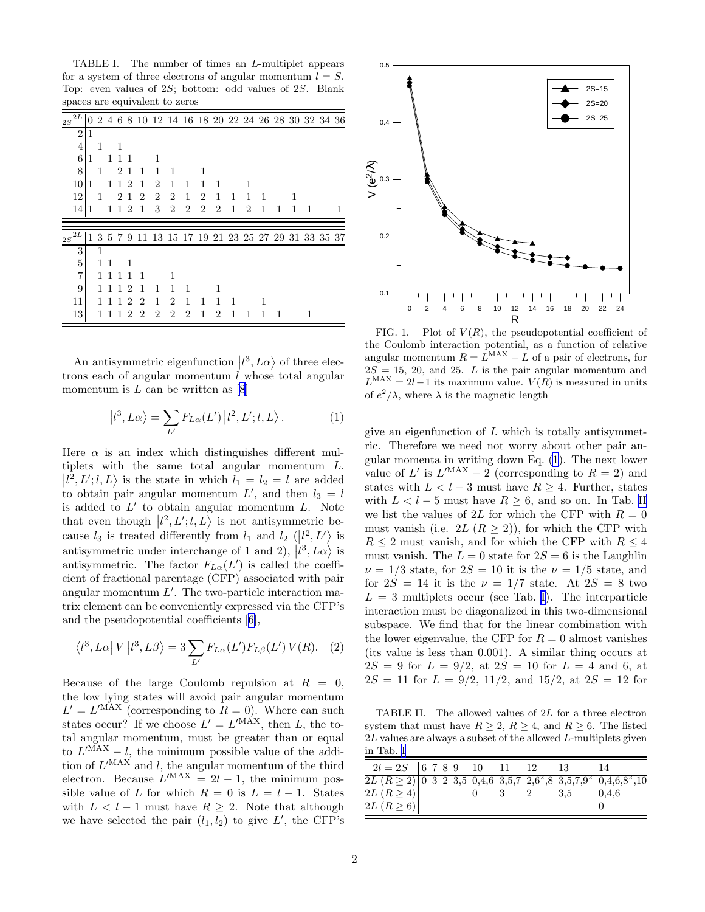<span id="page-1-0"></span>TABLE I. The number of times an L-multiplet appears for a system of three electrons of angular momentum  $l = S$ . Top: even values of 2S; bottom: odd values of 2S. Blank spaces are equivalent to zeros

| 2L<br>2S       | 0 |   |    |    |                             |                |                |                |                |                |   |   |                |   |   |   | 2 4 6 8 10 12 14 16 18 20 22 24 26 28 30 32 34 36 |   |
|----------------|---|---|----|----|-----------------------------|----------------|----------------|----------------|----------------|----------------|---|---|----------------|---|---|---|---------------------------------------------------|---|
| $\overline{2}$ | 1 |   |    |    |                             |                |                |                |                |                |   |   |                |   |   |   |                                                   |   |
| 4              |   | 1 |    | 1  |                             |                |                |                |                |                |   |   |                |   |   |   |                                                   |   |
| 6              | 1 |   | 1  | 1  | -1                          |                | 1              |                |                |                |   |   |                |   |   |   |                                                   |   |
| $8\,$          |   | 1 |    | 2  | 1                           | 1              | 1              | 1              |                |                |   |   |                |   |   |   |                                                   |   |
| 10             | 1 |   | 1  | 1  | 2                           | 1              | $\overline{2}$ | 1              | 1              | 1              | 1 |   |                |   |   |   |                                                   |   |
| 12             |   | 1 |    | 2  | $\overline{1}$              | $\overline{2}$ | $\overline{2}$ | $\overline{2}$ | 1              | $\overline{2}$ | 1 | 1 | 1              | 1 |   |   |                                                   |   |
| 14             | 1 |   | 1  | 12 |                             | 1              | 3              | $\overline{2}$ | $\overline{2}$ | $\overline{2}$ | 2 | 1 | $\overline{2}$ | 1 | 1 | 1 | 1                                                 | 1 |
|                |   |   |    |    |                             |                |                |                |                |                |   |   |                |   |   |   |                                                   |   |
|                |   |   |    |    |                             |                |                |                |                |                |   |   |                |   |   |   |                                                   |   |
| 2L<br>2S       | 1 |   |    |    |                             |                |                |                |                |                |   |   |                |   |   |   | 3 5 7 9 11 13 15 17 19 21 23 25 27 29 31 33 35 37 |   |
| 3              |   | 1 |    |    |                             |                |                |                |                |                |   |   |                |   |   |   |                                                   |   |
| 5              |   | 1 | -1 |    | 1                           |                |                |                |                |                |   |   |                |   |   |   |                                                   |   |
| 7              |   |   | 1  | 1  | 1                           | 1              |                | 1              |                |                |   |   |                |   |   |   |                                                   |   |
| 9              |   |   |    | 1  | 2                           | 1              | 1              | 1              | 1              |                |   |   |                |   |   |   |                                                   |   |
| 11             |   |   |    | 1  | $\mathcal{D}_{\mathcal{L}}$ | 2              | 1              | $\overline{2}$ | 1              | 1              | 1 | 1 |                | 1 |   |   |                                                   |   |

An antisymmetric eigenfunction  $\ket{l^3, L\alpha}$  of three electrons each of angular momentum  $\ell$  whose total angular momentum is  $L$  can be written as  $[8]$ 

$$
|l^3, L\alpha\rangle = \sum_{L'} F_{L\alpha}(L') |l^2, L'; l, L\rangle.
$$
 (1)

Here  $\alpha$  is an index which distinguishes different multiplets with the same total angular momentum L.  $\langle l^2, L'; l, L \rangle$  is the state in which  $l_1 = l_2 = l$  are added to obtain pair angular momentum  $L'$ , and then  $l_3 = l$ is added to  $L'$  to obtain angular momentum  $L$ . Note that even though  $\ket{l^2, L'; l, L}$  is not antisymmetric because  $l_3$  is treated differently from  $l_1$  and  $l_2$  ( $\vert l^2, L' \rangle$  is antisymmetric under interchange of 1 and 2),  $\ket{l^3}, L\alpha}$  is antisymmetric. The factor  $F_{L\alpha}(L')$  is called the coefficient of fractional parentage (CFP) associated with pair angular momentum  $L'$ . The two-particle interaction matrix element can be conveniently expressed via the CFP's and the pseudopotential coefficients[[6\]](#page-3-0),

$$
\langle l^3, L\alpha | V | l^3, L\beta \rangle = 3 \sum_{L'} F_{L\alpha}(L') F_{L\beta}(L') V(R). \quad (2)
$$

Because of the large Coulomb repulsion at  $R = 0$ , the low lying states will avoid pair angular momentum  $L' = L'^{\text{MAX}}$  (corresponding to  $R = 0$ ). Where can such states occur? If we choose  $L' = L'^{\text{MAX}}$ , then L, the total angular momentum, must be greater than or equal to  $L^{\prime$ MAX – l, the minimum possible value of the addition of  $L^{\prime$ MAX and l, the angular momentum of the third electron. Because  $L^{MAX} = 2l - 1$ , the minimum possible value of L for which  $R = 0$  is  $L = l - 1$ . States with  $L < l - 1$  must have  $R \geq 2$ . Note that although we have selected the pair  $(l_1, l_2)$  to give L', the CFP's



FIG. 1. Plot of  $V(R)$ , the pseudopotential coefficient of the Coulomb interaction potential, as a function of relative angular momentum  $R = \hat{L}^{MAX} - \hat{L}$  of a pair of electrons, for  $2S = 15, 20,$  and 25. L is the pair angular momentum and  $L^{\text{MAX}} = 2l - 1$  its maximum value.  $V(R)$  is measured in units of  $e^2/\lambda$ , where  $\lambda$  is the magnetic length

give an eigenfunction of  $L$  which is totally antisymmetric. Therefore we need not worry about other pair angular momenta in writing down Eq. (1). The next lower value of L' is  $L^{\prime\text{MAX}} - 2$  (corresponding to  $R = 2$ ) and states with  $L < l - 3$  must have  $R \geq 4$ . Further, states with  $L < l - 5$  must have  $R \geq 6$ , and so on. In Tab. II we list the values of 2L for which the CFP with  $R = 0$ must vanish (i.e.  $2L (R > 2)$ ), for which the CFP with  $R \leq 2$  must vanish, and for which the CFP with  $R \leq 4$ must vanish. The  $L = 0$  state for  $2S = 6$  is the Laughlin  $\nu = 1/3$  state, for  $2S = 10$  it is the  $\nu = 1/5$  state, and for  $2S = 14$  it is the  $\nu = 1/7$  state. At  $2S = 8$  two  $L = 3$  multiplets occur (see Tab. I). The interparticle interaction must be diagonalized in this two-dimensional subspace. We find that for the linear combination with the lower eigenvalue, the CFP for  $R = 0$  almost vanishes (its value is less than 0.001). A similar thing occurs at  $2S = 9$  for  $L = 9/2$ , at  $2S = 10$  for  $L = 4$  and 6, at  $2S = 11$  for  $L = 9/2$ ,  $11/2$ , and  $15/2$ , at  $2S = 12$  for

TABLE II. The allowed values of 2L for a three electron system that must have  $R \geq 2$ ,  $R \geq 4$ , and  $R \geq 6$ . The listed 2L values are always a subset of the allowed L-multiplets given in Tab. I

| $2l = 2S$ 6 7 8 9 10 11 12                                                                             |  |  |                |          | - 13 |       |
|--------------------------------------------------------------------------------------------------------|--|--|----------------|----------|------|-------|
| $2L (R \ge 2)$ 0 3 2 3,5 0,4,6 3,5,7 2,6 <sup>2</sup> ,8 3,5,7,9 <sup>2</sup> 0,4,6,8 <sup>2</sup> ,10 |  |  |                |          |      |       |
| 2L $(R \geq 4)$                                                                                        |  |  | $\overline{0}$ | $3 \t 2$ | 3.5  | 0.4.6 |
| 2L $(R \geq 6)$                                                                                        |  |  |                |          |      |       |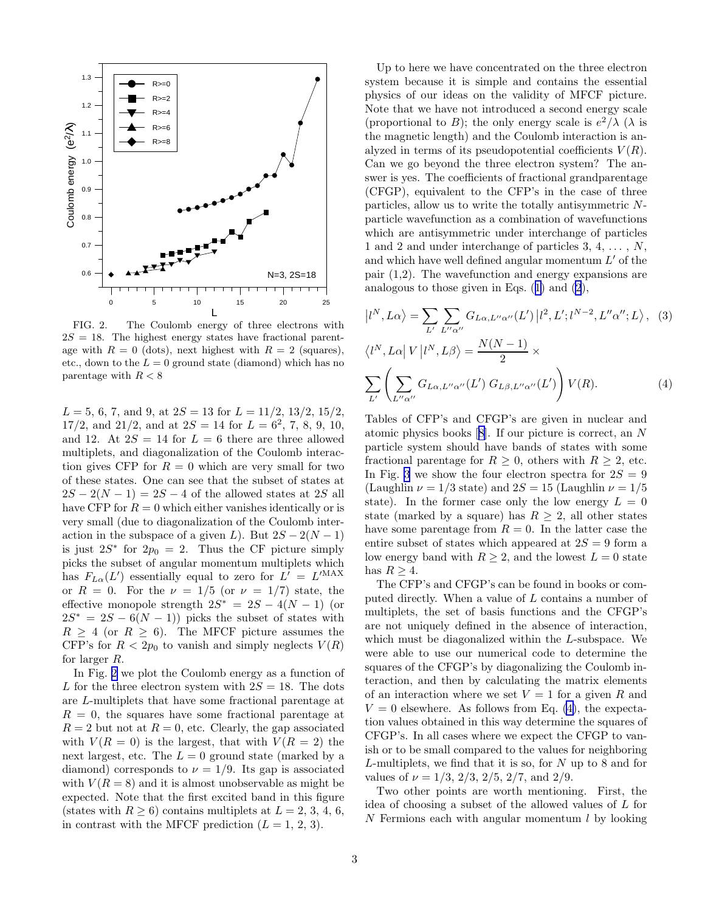

FIG. 2. The Coulomb energy of three electrons with  $2S = 18$ . The highest energy states have fractional parentage with  $R = 0$  (dots), next highest with  $R = 2$  (squares), etc., down to the  $L = 0$  ground state (diamond) which has no parentage with  $R < 8$ 

 $L = 5, 6, 7, \text{ and } 9, \text{ at } 2S = 13 \text{ for } L = 11/2, 13/2, 15/2,$  $17/2$ , and  $21/2$ , and at  $2S = 14$  for  $L = 6^2$ , 7, 8, 9, 10, and 12. At  $2S = 14$  for  $L = 6$  there are three allowed multiplets, and diagonalization of the Coulomb interaction gives CFP for  $R = 0$  which are very small for two of these states. One can see that the subset of states at  $2S - 2(N - 1) = 2S - 4$  of the allowed states at 2S all have CFP for  $R = 0$  which either vanishes identically or is very small (due to diagonalization of the Coulomb interaction in the subspace of a given L). But  $2S - 2(N - 1)$ is just  $2S^*$  for  $2p_0 = 2$ . Thus the CF picture simply picks the subset of angular momentum multiplets which has  $F_{L\alpha}(L')$  essentially equal to zero for  $L' = L'^{\text{MAX}}$ or  $R = 0$ . For the  $\nu = 1/5$  (or  $\nu = 1/7$ ) state, the effective monopole strength  $2S^* = 2S - 4(N - 1)$  (or  $2S^* = 2S - 6(N-1)$  picks the subset of states with  $R \geq 4$  (or  $R \geq 6$ ). The MFCF picture assumes the CFP's for  $R < 2p_0$  to vanish and simply neglects  $V(R)$ for larger R.

In Fig. 2 we plot the Coulomb energy as a function of L for the three electron system with  $2S = 18$ . The dots are L-multiplets that have some fractional parentage at  $R = 0$ , the squares have some fractional parentage at  $R = 2$  but not at  $R = 0$ , etc. Clearly, the gap associated with  $V(R = 0)$  is the largest, that with  $V(R = 2)$  the next largest, etc. The  $L = 0$  ground state (marked by a diamond) corresponds to  $\nu = 1/9$ . Its gap is associated with  $V(R = 8)$  and it is almost unobservable as might be expected. Note that the first excited band in this figure (states with  $R \geq 6$ ) contains multiplets at  $L = 2, 3, 4, 6$ , in contrast with the MFCF prediction  $(L = 1, 2, 3)$ .

Up to here we have concentrated on the three electron system because it is simple and contains the essential physics of our ideas on the validity of MFCF picture. Note that we have not introduced a second energy scale (proportional to B); the only energy scale is  $e^2/\lambda$  ( $\lambda$  is the magnetic length) and the Coulomb interaction is analyzed in terms of its pseudopotential coefficients  $V(R)$ . Can we go beyond the three electron system? The answer is yes. The coefficients of fractional grandparentage (CFGP), equivalent to the CFP's in the case of three particles, allow us to write the totally antisymmetric Nparticle wavefunction as a combination of wavefunctions which are antisymmetric under interchange of particles 1 and 2 and under interchange of particles  $3, 4, \ldots, N$ , and which have well defined angular momentum  $L'$  of the pair (1,2). The wavefunction and energy expansions are analogous to those given in Eqs.([1\)](#page-1-0) and [\(2](#page-1-0)),

$$
|l^N, L\alpha\rangle = \sum_{L'} \sum_{L''\alpha''} G_{L\alpha, L''\alpha''}(L') |l^2, L'; l^{N-2}, L''\alpha''; L\rangle, (3)
$$
  

$$
\langle l^N, L\alpha | V | l^N, L\beta \rangle = \frac{N(N-1)}{2} \times
$$
  

$$
\sum_{L'} \left( \sum_{L''\alpha''} G_{L\alpha, L''\alpha''}(L') G_{L\beta, L''\alpha''}(L') \right) V(R).
$$
 (4)

Tables of CFP's and CFGP's are given in nuclear and atomic physics books[[8\]](#page-3-0). If our picture is correct, an N particle system should have bands of states with some fractional parentage for  $R \geq 0$ , others with  $R \geq 2$ , etc. In Fig. [3](#page-3-0) we show the four electron spectra for  $2S = 9$ (Laughlin  $\nu = 1/3$  state) and  $2S = 15$  (Laughlin  $\nu = 1/5$ state). In the former case only the low energy  $L = 0$ state (marked by a square) has  $R \geq 2$ , all other states have some parentage from  $R = 0$ . In the latter case the entire subset of states which appeared at  $2S = 9$  form a low energy band with  $R \geq 2$ , and the lowest  $L = 0$  state has  $R > 4$ .

The CFP's and CFGP's can be found in books or computed directly. When a value of L contains a number of multiplets, the set of basis functions and the CFGP's are not uniquely defined in the absence of interaction, which must be diagonalized within the L-subspace. We were able to use our numerical code to determine the squares of the CFGP's by diagonalizing the Coulomb interaction, and then by calculating the matrix elements of an interaction where we set  $V = 1$  for a given R and  $V = 0$  elsewhere. As follows from Eq. (4), the expectation values obtained in this way determine the squares of CFGP's. In all cases where we expect the CFGP to vanish or to be small compared to the values for neighboring L-multiplets, we find that it is so, for N up to 8 and for values of  $\nu = 1/3$ ,  $2/3$ ,  $2/5$ ,  $2/7$ , and  $2/9$ .

Two other points are worth mentioning. First, the idea of choosing a subset of the allowed values of L for  $N$  Fermions each with angular momentum  $l$  by looking